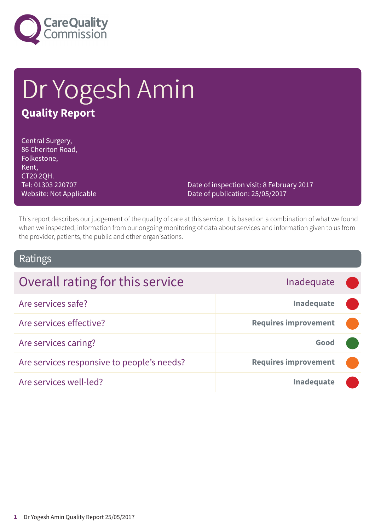

# Dr Yogesh Amin **Quality Report**

Central Surgery, 86 Cheriton Road, Folkestone, Kent, CT20 2QH. Tel: 01303 220707 Website: Not Applicable

Date of inspection visit: 8 February 2017 Date of publication: 25/05/2017

This report describes our judgement of the quality of care at this service. It is based on a combination of what we found when we inspected, information from our ongoing monitoring of data about services and information given to us from the provider, patients, the public and other organisations.

### Ratings

| Overall rating for this service            | Inadequate                  |  |
|--------------------------------------------|-----------------------------|--|
| Are services safe?                         | Inadequate                  |  |
| Are services effective?                    | <b>Requires improvement</b> |  |
| Are services caring?                       | Good                        |  |
| Are services responsive to people's needs? | <b>Requires improvement</b> |  |
| Are services well-led?                     | <b>Inadequate</b>           |  |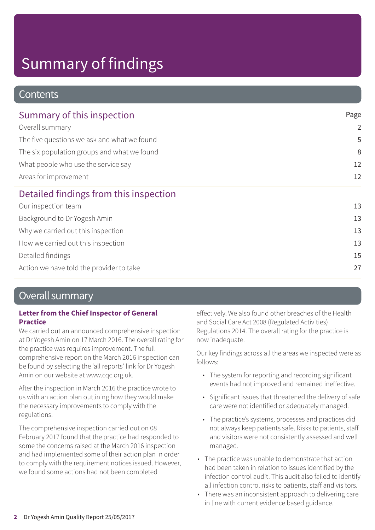### **Contents**

| Summary of this inspection                  | Page           |  |
|---------------------------------------------|----------------|--|
| Overall summary                             | $\overline{2}$ |  |
| The five questions we ask and what we found | 5              |  |
| The six population groups and what we found | 8              |  |
| What people who use the service say         | 12<br>12       |  |
| Areas for improvement                       |                |  |
| Detailed findings from this inspection      |                |  |
| Our inspection team                         | 13             |  |
| Background to Dr Yogesh Amin                | 13             |  |
| Why we carried out this inspection          | 13             |  |
| How we carried out this inspection          | 13             |  |
| Detailed findings                           | 15             |  |
| Action we have told the provider to take    | 27             |  |

### Overall summary

#### **Letter from the Chief Inspector of General Practice**

We carried out an announced comprehensive inspection at Dr Yogesh Amin on 17 March 2016. The overall rating for the practice was requires improvement. The full comprehensive report on the March 2016 inspection can be found by selecting the 'all reports' link for Dr Yogesh Amin on our website at www.cqc.org.uk.

After the inspection in March 2016 the practice wrote to us with an action plan outlining how they would make the necessary improvements to comply with the regulations.

The comprehensive inspection carried out on 08 February 2017 found that the practice had responded to some the concerns raised at the March 2016 inspection and had implemented some of their action plan in order to comply with the requirement notices issued. However, we found some actions had not been completed

effectively. We also found other breaches of the Health and Social Care Act 2008 (Regulated Activities) Regulations 2014. The overall rating for the practice is now inadequate.

Our key findings across all the areas we inspected were as follows:

- The system for reporting and recording significant events had not improved and remained ineffective.
- Significant issues that threatened the delivery of safe care were not identified or adequately managed.
- The practice's systems, processes and practices did not always keep patients safe. Risks to patients, staff and visitors were not consistently assessed and well managed.
- The practice was unable to demonstrate that action had been taken in relation to issues identified by the infection control audit. This audit also failed to identify all infection control risks to patients, staff and visitors.
- There was an inconsistent approach to delivering care in line with current evidence based guidance.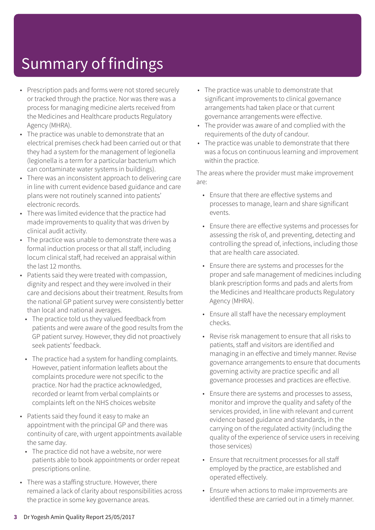- Prescription pads and forms were not stored securely or tracked through the practice. Nor was there was a process for managing medicine alerts received from the Medicines and Healthcare products Regulatory Agency (MHRA).
- The practice was unable to demonstrate that an electrical premises check had been carried out or that they had a system for the management of legionella (legionella is a term for a particular bacterium which can contaminate water systems in buildings).
- There was an inconsistent approach to delivering care in line with current evidence based guidance and care plans were not routinely scanned into patients' electronic records.
- There was limited evidence that the practice had made improvements to quality that was driven by clinical audit activity.
- The practice was unable to demonstrate there was a formal induction process or that all staff, including locum clinical staff, had received an appraisal within the last 12 months.
- Patients said they were treated with compassion, dignity and respect and they were involved in their care and decisions about their treatment. Results from the national GP patient survey were consistently better than local and national averages.
	- The practice told us they valued feedback from patients and were aware of the good results from the GP patient survey. However, they did not proactively seek patients' feedback.
	- The practice had a system for handling complaints. However, patient information leaflets about the complaints procedure were not specific to the practice. Nor had the practice acknowledged, recorded or learnt from verbal complaints or complaints left on the NHS choices website
- Patients said they found it easy to make an appointment with the principal GP and there was continuity of care, with urgent appointments available the same day.
	- The practice did not have a website, nor were patients able to book appointments or order repeat prescriptions online.
- There was a staffing structure. However, there remained a lack of clarity about responsibilities across the practice in some key governance areas.
- The practice was unable to demonstrate that significant improvements to clinical governance arrangements had taken place or that current governance arrangements were effective.
- The provider was aware of and complied with the requirements of the duty of candour.
- The practice was unable to demonstrate that there was a focus on continuous learning and improvement within the practice.

The areas where the provider must make improvement are:

- Ensure that there are effective systems and processes to manage, learn and share significant events.
- Ensure there are effective systems and processes for assessing the risk of, and preventing, detecting and controlling the spread of, infections, including those that are health care associated.
- Ensure there are systems and processes for the proper and safe management of medicines including blank prescription forms and pads and alerts from the Medicines and Healthcare products Regulatory Agency (MHRA).
- Ensure all staff have the necessary employment checks.
- Revise risk management to ensure that all risks to patients, staff and visitors are identified and managing in an effective and timely manner. Revise governance arrangements to ensure that documents governing activity are practice specific and all governance processes and practices are effective.
- Ensure there are systems and processes to assess, monitor and improve the quality and safety of the services provided, in line with relevant and current evidence based guidance and standards, in the carrying on of the regulated activity (including the quality of the experience of service users in receiving those services)
- Ensure that recruitment processes for all staff employed by the practice, are established and operated effectively.
- Ensure when actions to make improvements are identified these are carried out in a timely manner.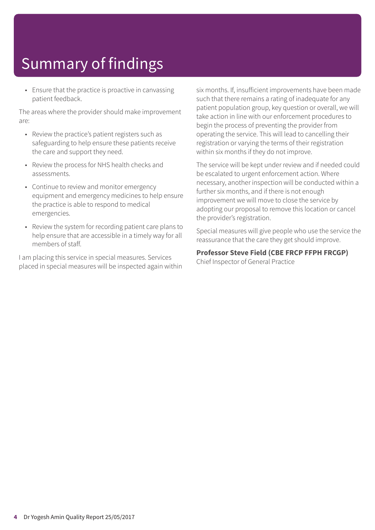• Ensure that the practice is proactive in canvassing patient feedback.

The areas where the provider should make improvement are:

- Review the practice's patient registers such as safeguarding to help ensure these patients receive the care and support they need.
- Review the process for NHS health checks and assessments.
- Continue to review and monitor emergency equipment and emergency medicines to help ensure the practice is able to respond to medical emergencies.
- Review the system for recording patient care plans to help ensure that are accessible in a timely way for all members of staff.

I am placing this service in special measures. Services placed in special measures will be inspected again within six months. If, insufficient improvements have been made such that there remains a rating of inadequate for any patient population group, key question or overall, we will take action in line with our enforcement procedures to begin the process of preventing the provider from operating the service. This will lead to cancelling their registration or varying the terms of their registration within six months if they do not improve.

The service will be kept under review and if needed could be escalated to urgent enforcement action. Where necessary, another inspection will be conducted within a further six months, and if there is not enough improvement we will move to close the service by adopting our proposal to remove this location or cancel the provider's registration.

Special measures will give people who use the service the reassurance that the care they get should improve.

#### **Professor Steve Field (CBE FRCP FFPH FRCGP)**

Chief Inspector of General Practice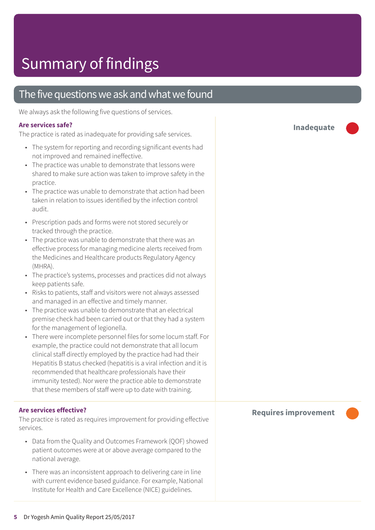### The five questions we ask and what we found

We always ask the following five questions of services.

#### **Are services safe?**

The practice is rated as inadequate for providing safe services.

- The system for reporting and recording significant events had not improved and remained ineffective.
- The practice was unable to demonstrate that lessons were shared to make sure action was taken to improve safety in the practice.
- The practice was unable to demonstrate that action had been taken in relation to issues identified by the infection control audit.
- Prescription pads and forms were not stored securely or tracked through the practice.
- The practice was unable to demonstrate that there was an effective process for managing medicine alerts received from the Medicines and Healthcare products Regulatory Agency (MHRA).
- The practice's systems, processes and practices did not always keep patients safe.
- Risks to patients, staff and visitors were not always assessed and managed in an effective and timely manner.
- The practice was unable to demonstrate that an electrical premise check had been carried out or that they had a system for the management of legionella.
- There were incomplete personnel files for some locum staff. For example, the practice could not demonstrate that all locum clinical staff directly employed by the practice had had their Hepatitis B status checked (hepatitis is a viral infection and it is recommended that healthcare professionals have their immunity tested). Nor were the practice able to demonstrate that these members of staff were up to date with training.

#### **Are services effective?**

The practice is rated as requires improvement for providing effective services.

- Data from the Quality and Outcomes Framework (QOF) showed patient outcomes were at or above average compared to the national average.
- There was an inconsistent approach to delivering care in line with current evidence based guidance. For example, National Institute for Health and Care Excellence (NICE) guidelines.

**Inadequate –––**

#### **Requires improvement –––**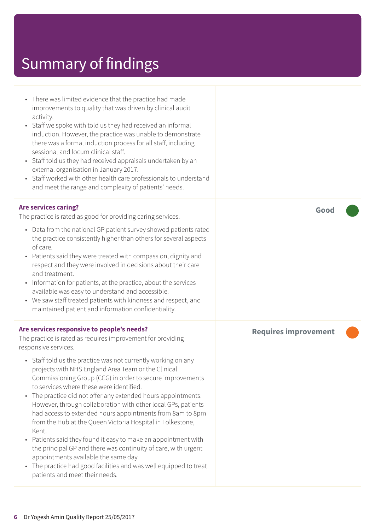| • There was limited evidence that the practice had made<br>improvements to quality that was driven by clinical audit<br>activity.<br>Staff we spoke with told us they had received an informal<br>$\bullet$<br>induction. However, the practice was unable to demonstrate<br>there was a formal induction process for all staff, including<br>sessional and locum clinical staff.<br>• Staff told us they had received appraisals undertaken by an<br>external organisation in January 2017.<br>• Staff worked with other health care professionals to understand<br>and meet the range and complexity of patients' needs.                                                                                                                                                                        |                             |
|---------------------------------------------------------------------------------------------------------------------------------------------------------------------------------------------------------------------------------------------------------------------------------------------------------------------------------------------------------------------------------------------------------------------------------------------------------------------------------------------------------------------------------------------------------------------------------------------------------------------------------------------------------------------------------------------------------------------------------------------------------------------------------------------------|-----------------------------|
| <b>Are services caring?</b><br>The practice is rated as good for providing caring services.<br>• Data from the national GP patient survey showed patients rated<br>the practice consistently higher than others for several aspects<br>of care.<br>• Patients said they were treated with compassion, dignity and<br>respect and they were involved in decisions about their care<br>and treatment.<br>Information for patients, at the practice, about the services                                                                                                                                                                                                                                                                                                                              | Good                        |
| available was easy to understand and accessible.<br>• We saw staff treated patients with kindness and respect, and<br>maintained patient and information confidentiality.<br>Are services responsive to people's needs?<br>The practice is rated as requires improvement for providing<br>responsive services.                                                                                                                                                                                                                                                                                                                                                                                                                                                                                    | <b>Requires improvement</b> |
| • Staff told us the practice was not currently working on any<br>projects with NHS England Area Team or the Clinical<br>Commissioning Group (CCG) in order to secure improvements<br>to services where these were identified.<br>The practice did not offer any extended hours appointments.<br>$\bullet$<br>However, through collaboration with other local GPs, patients<br>had access to extended hours appointments from 8am to 8pm<br>from the Hub at the Queen Victoria Hospital in Folkestone,<br>Kent.<br>• Patients said they found it easy to make an appointment with<br>the principal GP and there was continuity of care, with urgent<br>appointments available the same day.<br>• The practice had good facilities and was well equipped to treat<br>patients and meet their needs. |                             |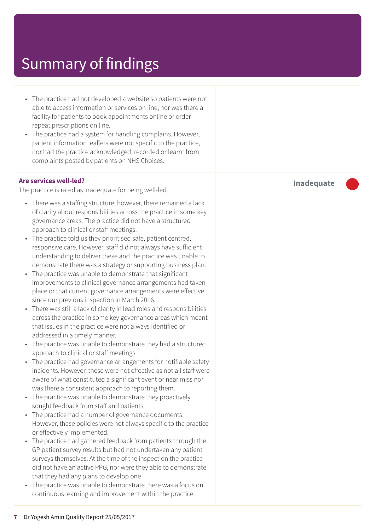- The practice had not developed a website so patients were not able to access information or services on line; nor was there a facility for patients to book appointments online or order repeat prescriptions on line.
- The practice had a system for handling complains. However, patient information leaflets were not specific to the practice, nor had the practice acknowledged, recorded or learnt from complaints posted by patients on NHS Choices.

#### **Are services well-led?**

The practice is rated as inadequate for being well-led.

- There was a staffing structure; however, there remained a lack of clarity about responsibilities across the practice in some key governance areas. The practice did not have a structured approach to clinical or staff meetings.
- The practice told us they prioritised safe, patient centred, responsive care. However, staff did not always have sufficient understanding to deliver these and the practice was unable to demonstrate there was a strategy or supporting business plan.
- The practice was unable to demonstrate that significant improvements to clinical governance arrangements had taken place or that current governance arrangements were effective since our previous inspection in March 2016.
- There was still a lack of clarity in lead roles and responsibilities across the practice in some key governance areas which meant that issues in the practice were not always identified or addressed in a timely manner.
- The practice was unable to demonstrate they had a structured approach to clinical or staff meetings.
- The practice had governance arrangements for notifiable safety incidents. However, these were not effective as not all staff were aware of what constituted a significant event or near miss nor was there a consistent approach to reporting them.
- The practice was unable to demonstrate they proactively sought feedback from staff and patients.
- The practice had a number of governance documents. However, these policies were not always specific to the practice or effectively implemented.
- The practice had gathered feedback from patients through the GP patient survey results but had not undertaken any patient surveys themselves. At the time of the inspection the practice did not have an active PPG, nor were they able to demonstrate that they had any plans to develop one
- The practice was unable to demonstrate there was a focus on continuous learning and improvement within the practice.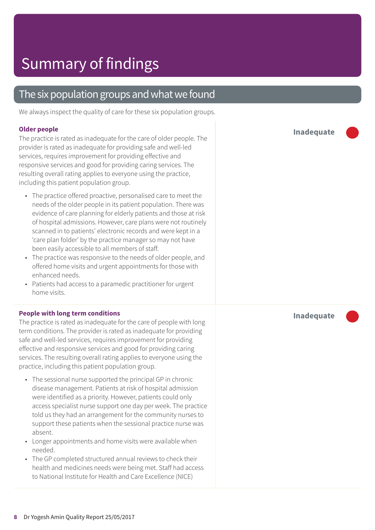### The six population groups and what we found

We always inspect the quality of care for these six population groups.

#### **Older people**

The practice is rated as inadequate for the care of older people. The provider is rated as inadequate for providing safe and well-led services, requires improvement for providing effective and responsive services and good for providing caring services. The resulting overall rating applies to everyone using the practice, including this patient population group.

- The practice offered proactive, personalised care to meet the needs of the older people in its patient population. There was evidence of care planning for elderly patients and those at risk of hospital admissions. However, care plans were not routinely scanned in to patients' electronic records and were kept in a 'care plan folder' by the practice manager so may not have been easily accessible to all members of staff.
- The practice was responsive to the needs of older people, and offered home visits and urgent appointments for those with enhanced needs.
- Patients had access to a paramedic practitioner for urgent home visits.

#### **People with long term conditions**

The practice is rated as inadequate for the care of people with long term conditions. The provider is rated as inadequate for providing safe and well-led services, requires improvement for providing effective and responsive services and good for providing caring services. The resulting overall rating applies to everyone using the practice, including this patient population group.

- The sessional nurse supported the principal GP in chronic disease management. Patients at risk of hospital admission were identified as a priority. However, patients could only access specialist nurse support one day per week. The practice told us they had an arrangement for the community nurses to support these patients when the sessional practice nurse was absent.
- Longer appointments and home visits were available when needed.
- The GP completed structured annual reviews to check their health and medicines needs were being met. Staff had access to National Institute for Health and Care Excellence (NICE)

**Inadequate –––**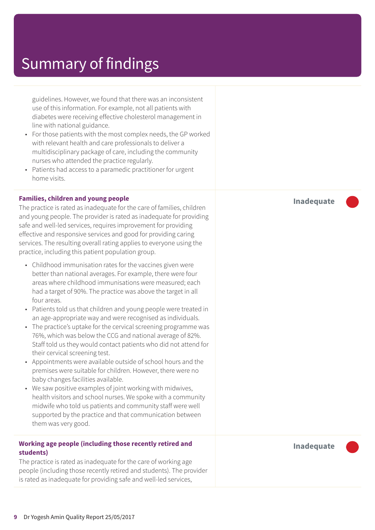guidelines. However, we found that there was an inconsistent use of this information. For example, not all patients with diabetes were receiving effective cholesterol management in line with national guidance.

- For those patients with the most complex needs, the GP worked with relevant health and care professionals to deliver a multidisciplinary package of care, including the community nurses who attended the practice regularly.
- Patients had access to a paramedic practitioner for urgent home visits.

#### **Families, children and young people**

The practice is rated as inadequate for the care of families, children and young people. The provider is rated as inadequate for providing safe and well-led services, requires improvement for providing effective and responsive services and good for providing caring services. The resulting overall rating applies to everyone using the practice, including this patient population group.

- Childhood immunisation rates for the vaccines given were better than national averages. For example, there were four areas where childhood immunisations were measured; each had a target of 90%. The practice was above the target in all four areas.
- Patients told us that children and young people were treated in an age-appropriate way and were recognised as individuals.
- The practice's uptake for the cervical screening programme was 76%, which was below the CCG and national average of 82%. Staff told us they would contact patients who did not attend for their cervical screening test.
- Appointments were available outside of school hours and the premises were suitable for children. However, there were no baby changes facilities available.
- We saw positive examples of joint working with midwives, health visitors and school nurses. We spoke with a community midwife who told us patients and community staff were well supported by the practice and that communication between them was very good.

#### **Working age people (including those recently retired and students)**

The practice is rated as inadequate for the care of working age people (including those recently retired and students). The provider is rated as inadequate for providing safe and well-led services,

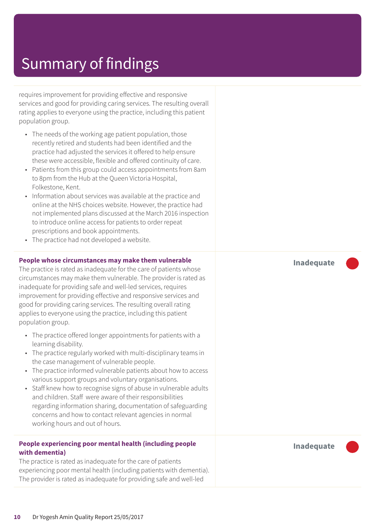requires improvement for providing effective and responsive services and good for providing caring services. The resulting overall rating applies to everyone using the practice, including this patient population group.

- The needs of the working age patient population, those recently retired and students had been identified and the practice had adjusted the services it offered to help ensure these were accessible, flexible and offered continuity of care.
- Patients from this group could access appointments from 8am to 8pm from the Hub at the Queen Victoria Hospital, Folkestone, Kent.
- Information about services was available at the practice and online at the NHS choices website. However, the practice had not implemented plans discussed at the March 2016 inspection to introduce online access for patients to order repeat prescriptions and book appointments.
- The practice had not developed a website.

#### **People whose circumstances may make them vulnerable**

The practice is rated as inadequate for the care of patients whose circumstances may make them vulnerable. The provider is rated as inadequate for providing safe and well-led services, requires improvement for providing effective and responsive services and good for providing caring services. The resulting overall rating applies to everyone using the practice, including this patient population group.

- The practice offered longer appointments for patients with a learning disability.
- The practice regularly worked with multi-disciplinary teams in the case management of vulnerable people.
- The practice informed vulnerable patients about how to access various support groups and voluntary organisations.
- Staff knew how to recognise signs of abuse in vulnerable adults and children. Staff were aware of their responsibilities regarding information sharing, documentation of safeguarding concerns and how to contact relevant agencies in normal working hours and out of hours.

#### **People experiencing poor mental health (including people with dementia)**

The practice is rated as inadequate for the care of patients experiencing poor mental health (including patients with dementia). The provider is rated as inadequate for providing safe and well-led

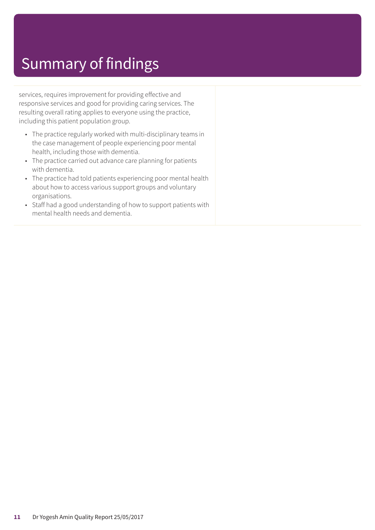services, requires improvement for providing effective and responsive services and good for providing caring services. The resulting overall rating applies to everyone using the practice, including this patient population group.

- The practice regularly worked with multi-disciplinary teams in the case management of people experiencing poor mental health, including those with dementia.
- The practice carried out advance care planning for patients with dementia.
- The practice had told patients experiencing poor mental health about how to access various support groups and voluntary organisations.
- Staff had a good understanding of how to support patients with mental health needs and dementia.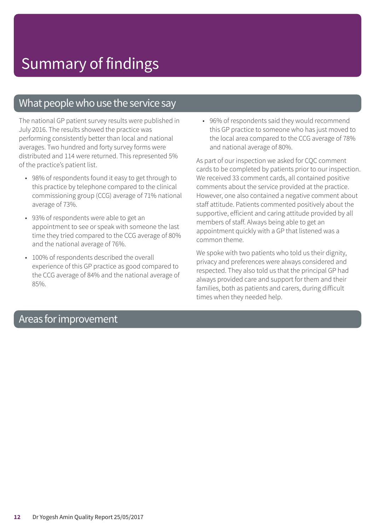### What people who use the service say

The national GP patient survey results were published in July 2016. The results showed the practice was performing consistently better than local and national averages. Two hundred and forty survey forms were distributed and 114 were returned. This represented 5% of the practice's patient list.

- 98% of respondents found it easy to get through to this practice by telephone compared to the clinical commissioning group (CCG) average of 71% national average of 73%.
- 93% of respondents were able to get an appointment to see or speak with someone the last time they tried compared to the CCG average of 80% and the national average of 76%.
- 100% of respondents described the overall experience of this GP practice as good compared to the CCG average of 84% and the national average of 85%.

• 96% of respondents said they would recommend this GP practice to someone who has just moved to the local area compared to the CCG average of 78% and national average of 80%.

As part of our inspection we asked for CQC comment cards to be completed by patients prior to our inspection. We received 33 comment cards, all contained positive comments about the service provided at the practice. However, one also contained a negative comment about staff attitude. Patients commented positively about the supportive, efficient and caring attitude provided by all members of staff. Always being able to get an appointment quickly with a GP that listened was a common theme.

We spoke with two patients who told us their dignity, privacy and preferences were always considered and respected. They also told us that the principal GP had always provided care and support for them and their families, both as patients and carers, during difficult times when they needed help.

### Areas forimprovement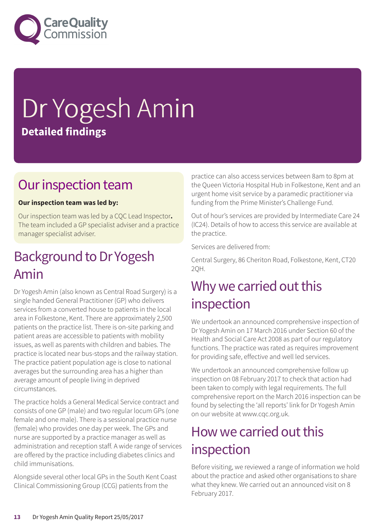

# Dr Yogesh Amin **Detailed findings**

### Our inspection team

#### **Our inspection team was led by:**

Our inspection team was led by a CQC Lead Inspector**.** The team included a GP specialist adviser and a practice manager specialist adviser.

### Background to Dr Yogesh Amin

Dr Yogesh Amin (also known as Central Road Surgery) is a single handed General Practitioner (GP) who delivers services from a converted house to patients in the local area in Folkestone, Kent. There are approximately 2,500 patients on the practice list. There is on-site parking and patient areas are accessible to patients with mobility issues, as well as parents with children and babies. The practice is located near bus-stops and the railway station. The practice patient population age is close to national averages but the surrounding area has a higher than average amount of people living in deprived circumstances.

The practice holds a General Medical Service contract and consists of one GP (male) and two regular locum GPs (one female and one male). There is a sessional practice nurse (female) who provides one day per week. The GPs and nurse are supported by a practice manager as well as administration and reception staff. A wide range of services are offered by the practice including diabetes clinics and child immunisations.

Alongside several other local GPs in the South Kent Coast Clinical Commissioning Group (CCG) patients from the

practice can also access services between 8am to 8pm at the Queen Victoria Hospital Hub in Folkestone, Kent and an urgent home visit service by a paramedic practitioner via funding from the Prime Minister's Challenge Fund.

Out of hour's services are provided by Intermediate Care 24 (IC24). Details of how to access this service are available at the practice.

Services are delivered from:

Central Surgery, 86 Cheriton Road, Folkestone, Kent, CT20 2QH.

### Why we carried out this inspection

We undertook an announced comprehensive inspection of Dr Yogesh Amin on 17 March 2016 under Section 60 of the Health and Social Care Act 2008 as part of our regulatory functions. The practice was rated as requires improvement for providing safe, effective and well led services.

We undertook an announced comprehensive follow up inspection on 08 February 2017 to check that action had been taken to comply with legal requirements. The full comprehensive report on the March 2016 inspection can be found by selecting the 'all reports' link for Dr Yogesh Amin on our website at www.cqc.org.uk.

### How we carried out this inspection

Before visiting, we reviewed a range of information we hold about the practice and asked other organisations to share what they knew. We carried out an announced visit on 8 February 2017.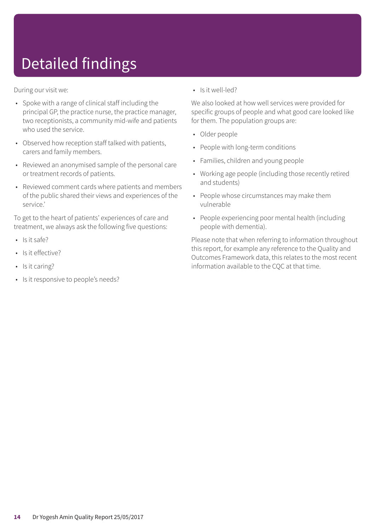# Detailed findings

During our visit we:

- Spoke with a range of clinical staff including the principal GP, the practice nurse, the practice manager, two receptionists, a community mid-wife and patients who used the service.
- Observed how reception staff talked with patients, carers and family members.
- Reviewed an anonymised sample of the personal care or treatment records of patients.
- Reviewed comment cards where patients and members of the public shared their views and experiences of the service.'

To get to the heart of patients' experiences of care and treatment, we always ask the following five questions:

- $\cdot$  Is it safe?
- Is it effective?
- Is it caring?
- Is it responsive to people's needs?

• Is it well-led?

We also looked at how well services were provided for specific groups of people and what good care looked like for them. The population groups are:

- Older people
- People with long-term conditions
- Families, children and young people
- Working age people (including those recently retired and students)
- People whose circumstances may make them vulnerable
- People experiencing poor mental health (including people with dementia).

Please note that when referring to information throughout this report, for example any reference to the Quality and Outcomes Framework data, this relates to the most recent information available to the CQC at that time.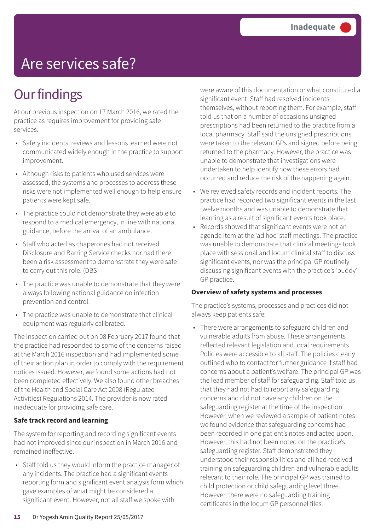## Are services safe?

## **Our findings**

At our previous inspection on 17 March 2016, we rated the practice as requires improvement for providing safe services.

- Safety incidents, reviews and lessons learned were not communicated widely enough in the practice to support improvement.
- Although risks to patients who used services were assessed, the systems and processes to address these risks were not implemented well enough to help ensure patients were kept safe.
- The practice could not demonstrate they were able to respond to a medical emergency, in line with national guidance, before the arrival of an ambulance.
- Staff who acted as chaperones had not received Disclosure and Barring Service checks nor had there been a risk assessment to demonstrate they were safe to carry out this role. (DBS
- The practice was unable to demonstrate that they were always following national guidance on infection prevention and control.
- The practice was unable to demonstrate that clinical equipment was regularly calibrated.

The inspection carried out on 08 February 2017 found that the practice had responded to some of the concerns raised at the March 2016 inspection and had implemented some of their action plan in order to comply with the requirement notices issued. However, we found some actions had not been completed effectively. We also found other breaches of the Health and Social Care Act 2008 (Regulated Activities) Regulations 2014. The provider is now rated inadequate for providing safe care.

#### **Safe track record and learning**

The system for reporting and recording significant events had not improved since our inspection in March 2016 and remained ineffective.

• Staff told us they would inform the practice manager of any incidents. The practice had a significant events reporting form and significant event analysis form which gave examples of what might be considered a significant event. However, not all staff we spoke with

were aware of this documentation or what constituted a significant event. Staff had resolved incidents themselves, without reporting them. For example, staff told us that on a number of occasions unsigned prescriptions had been returned to the practice from a local pharmacy. Staff said the unsigned prescriptions were taken to the relevant GPs and signed before being returned to the pharmacy. However, the practice was unable to demonstrate that investigations were undertaken to help identify how these errors had occurred and reduce the risk of the happening again.

- We reviewed safety records and incident reports. The practice had recorded two significant events in the last twelve months and was unable to demonstrate that learning as a result of significant events took place.
- Records showed that significant events were not an agenda item at the 'ad hoc' staff meetings. The practice was unable to demonstrate that clinical meetings took place with sessional and locum clinical staff to discuss significant events, nor was the principal GP routinely discussing significant events with the practice's 'buddy' GP practice.

#### **Overview of safety systems and processes**

The practice's systems, processes and practices did not always keep patients safe:

• There were arrangements to safeguard children and vulnerable adults from abuse. These arrangements reflected relevant legislation and local requirements. Policies were accessible to all staff. The policies clearly outlined who to contact for further guidance if staff had concerns about a patient's welfare. The principal GP was the lead member of staff for safeguarding. Staff told us that they had not had to report any safeguarding concerns and did not have any children on the safeguarding register at the time of the inspection. However, when we reviewed a sample of patient notes we found evidence that safeguarding concerns had been recorded in one patient's notes and acted upon. However, this had not been noted on the practice's safeguarding register. Staff demonstrated they understood their responsibilities and all had received training on safeguarding children and vulnerable adults relevant to their role. The principal GP was trained to child protection or child safeguarding level three. However, there were no safeguarding training certificates in the locum GP personnel files.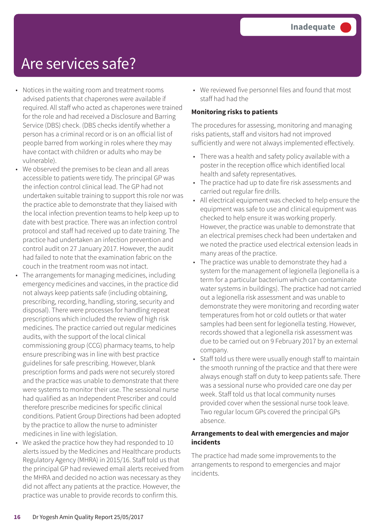## Are services safe?

- Notices in the waiting room and treatment rooms advised patients that chaperones were available if required. All staff who acted as chaperones were trained for the role and had received a Disclosure and Barring Service (DBS) check. (DBS checks identify whether a person has a criminal record or is on an official list of people barred from working in roles where they may have contact with children or adults who may be vulnerable).
- We observed the premises to be clean and all areas accessible to patients were tidy. The principal GP was the infection control clinical lead. The GP had not undertaken suitable training to support this role nor was the practice able to demonstrate that they liaised with the local infection prevention teams to help keep up to date with best practice. There was an infection control protocol and staff had received up to date training. The practice had undertaken an infection prevention and control audit on 27 January 2017. However, the audit had failed to note that the examination fabric on the couch in the treatment room was not intact.
- The arrangements for managing medicines, including emergency medicines and vaccines, in the practice did not always keep patients safe (including obtaining, prescribing, recording, handling, storing, security and disposal). There were processes for handling repeat prescriptions which included the review of high risk medicines. The practice carried out regular medicines audits, with the support of the local clinical commissioning group (CCG) pharmacy teams, to help ensure prescribing was in line with best practice guidelines for safe prescribing. However, blank prescription forms and pads were not securely stored and the practice was unable to demonstrate that there were systems to monitor their use. The sessional nurse had qualified as an Independent Prescriber and could therefore prescribe medicines for specific clinical conditions. Patient Group Directions had been adopted by the practice to allow the nurse to administer medicines in line with legislation.
- We asked the practice how they had responded to 10 alerts issued by the Medicines and Healthcare products Regulatory Agency (MHRA) in 2015/16. Staff told us that the principal GP had reviewed email alerts received from the MHRA and decided no action was necessary as they did not affect any patients at the practice. However, the practice was unable to provide records to confirm this.

• We reviewed five personnel files and found that most staff had had the

#### **Monitoring risks to patients**

The procedures for assessing, monitoring and managing risks patients, staff and visitors had not improved sufficiently and were not always implemented effectively.

- There was a health and safety policy available with a poster in the reception office which identified local health and safety representatives.
- The practice had up to date fire risk assessments and carried out regular fire drills.
- All electrical equipment was checked to help ensure the equipment was safe to use and clinical equipment was checked to help ensure it was working properly. However, the practice was unable to demonstrate that an electrical premises check had been undertaken and we noted the practice used electrical extension leads in many areas of the practice.
- The practice was unable to demonstrate they had a system for the management of legionella (legionella is a term for a particular bacterium which can contaminate water systems in buildings). The practice had not carried out a legionella risk assessment and was unable to demonstrate they were monitoring and recording water temperatures from hot or cold outlets or that water samples had been sent for legionella testing. However, records showed that a legionella risk assessment was due to be carried out on 9 February 2017 by an external company.
- Staff told us there were usually enough staff to maintain the smooth running of the practice and that there were always enough staff on duty to keep patients safe. There was a sessional nurse who provided care one day per week. Staff told us that local community nurses provided cover when the sessional nurse took leave. Two regular locum GPs covered the principal GPs absence.

#### **Arrangements to deal with emergencies and major incidents**

The practice had made some improvements to the arrangements to respond to emergencies and major incidents.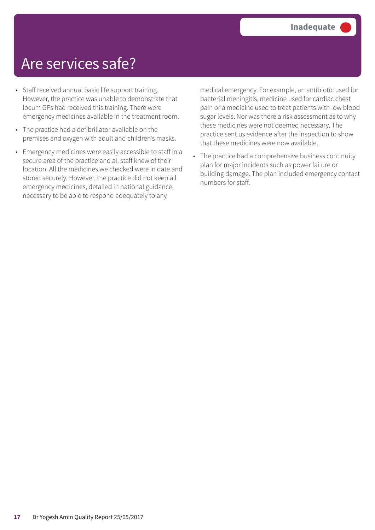## Are services safe?

- Staff received annual basic life support training. However, the practice was unable to demonstrate that locum GPs had received this training. There were emergency medicines available in the treatment room.
- The practice had a defibrillator available on the premises and oxygen with adult and children's masks.
- Emergency medicines were easily accessible to staff in a secure area of the practice and all staff knew of their location. All the medicines we checked were in date and stored securely. However, the practice did not keep all emergency medicines, detailed in national guidance, necessary to be able to respond adequately to any

medical emergency. For example, an antibiotic used for bacterial meningitis, medicine used for cardiac chest pain or a medicine used to treat patients with low blood sugar levels. Nor was there a risk assessment as to why these medicines were not deemed necessary. The practice sent us evidence after the inspection to show that these medicines were now available.

• The practice had a comprehensive business continuity plan for major incidents such as power failure or building damage. The plan included emergency contact numbers for staff.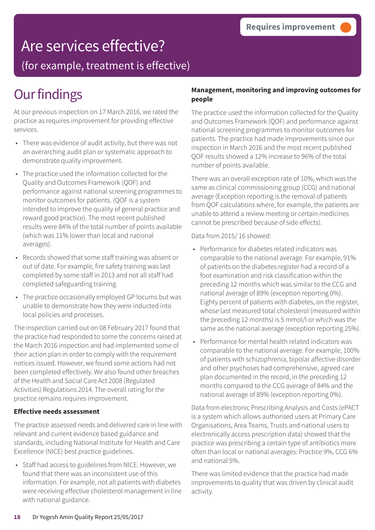## Are services effective?

(for example, treatment is effective)

## **Our findings**

At our previous inspection on 17 March 2016, we rated the practice as requires improvement for providing effective services.

- There was evidence of audit activity, but there was not an overarching audit plan or systematic approach to demonstrate quality improvement.
- The practice used the information collected for the Quality and Outcomes Framework (QOF) and performance against national screening programmes to monitor outcomes for patients. (QOF is a system intended to improve the quality of general practice and reward good practice). The most recent published results were 84% of the total number of points available (which was 11% lower than local and national averages).
- Records showed that some staff training was absent or out of date. For example, fire safety training was last completed by some staff in 2013 and not all staff had completed safeguarding training.
- The practice occasionally employed GP locums but was unable to demonstrate how they were inducted into local policies and processes.

The inspection carried out on 08 February 2017 found that the practice had responded to some the concerns raised at the March 2016 inspection and had implemented some of their action plan in order to comply with the requirement notices issued. However, we found some actions had not been completed effectively. We also found other breaches of the Health and Social Care Act 2008 (Regulated Activities) Regulations 2014. The overall rating for the practice remains requires improvement.

#### **Effective needs assessment**

The practice assessed needs and delivered care in line with relevant and current evidence based guidance and standards, including National Institute for Health and Care Excellence (NICE) best practice guidelines.

• Staff had access to guidelines from NICE. However, we found that there was an inconsistent use of this information. For example, not all patients with diabetes were receiving effective cholesterol management in line with national guidance.

#### **Management, monitoring and improving outcomes for people**

The practice used the information collected for the Quality and Outcomes Framework (QOF) and performance against national screening programmes to monitor outcomes for patients. The practice had made improvements since our inspection in March 2016 and the most recent published QOF results showed a 12% increase to 96% of the total number of points available.

There was an overall exception rate of 10%, which was the same as clinical commissioning group (CCG) and national average (Exception reporting is the removal of patients from QOF calculations where, for example, the patients are unable to attend a review meeting or certain medicines cannot be prescribed because of side effects).

Data from 2015/ 16 showed:

- Performance for diabetes related indicators was comparable to the national average. For example, 91% of patients on the diabetes register had a record of a foot examination and risk classification within the preceding 12 months which was similar to the CCG and national average of 89% (exception reporting 0%). Eighty percent of patients with diabetes, on the register, whose last measured total cholesterol (measured within the preceding 12 months) is 5 mmol/l or which was the same as the national average (exception reporting 25%).
- Performance for mental health related indicators was comparable to the national average. For example, 100% of patients with schizophrenia, bipolar affective disorder and other psychoses had comprehensive, agreed care plan documented in the record, in the preceding 12 months compared to the CCG average of 84% and the national average of 89% (exception reporting 0%).

Data from electronic Prescribing Analysis and Costs (ePACT is a system which allows authorised users at Primary Care Organisations, Area Teams, Trusts and national users to electronically access prescription data) showed that the practice was prescribing a certain type of antibiotics more often than local or national averages: Practice 9%, CCG 6% and national 5%.

There was limited evidence that the practice had made improvements to quality that was driven by clinical audit activity.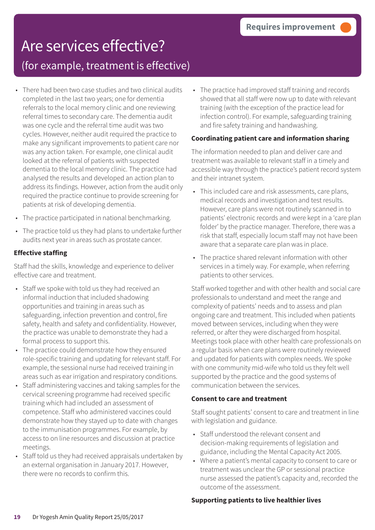### Are services effective? (for example, treatment is effective)

- There had been two case studies and two clinical audits completed in the last two years; one for dementia referrals to the local memory clinic and one reviewing referral times to secondary care. The dementia audit was one cycle and the referral time audit was two cycles. However, neither audit required the practice to make any significant improvements to patient care nor was any action taken. For example, one clinical audit looked at the referral of patients with suspected dementia to the local memory clinic. The practice had analysed the results and developed an action plan to address its findings. However, action from the audit only required the practice continue to provide screening for patients at risk of developing dementia.
- The practice participated in national benchmarking.
- The practice told us they had plans to undertake further audits next year in areas such as prostate cancer.

#### **Effective staffing**

Staff had the skills, knowledge and experience to deliver effective care and treatment.

- Staff we spoke with told us they had received an informal induction that included shadowing opportunities and training in areas such as safeguarding, infection prevention and control, fire safety, health and safety and confidentiality. However, the practice was unable to demonstrate they had a formal process to support this.
- The practice could demonstrate how they ensured role-specific training and updating for relevant staff. For example, the sessional nurse had received training in areas such as ear irrigation and respiratory conditions.
- Staff administering vaccines and taking samples for the cervical screening programme had received specific training which had included an assessment of competence. Staff who administered vaccines could demonstrate how they stayed up to date with changes to the immunisation programmes. For example, by access to on line resources and discussion at practice meetings.
- Staff told us they had received appraisals undertaken by an external organisation in January 2017. However, there were no records to confirm this.

• The practice had improved staff training and records showed that all staff were now up to date with relevant training (with the exception of the practice lead for infection control). For example, safeguarding training and fire safety training and handwashing.

#### **Coordinating patient care and information sharing**

The information needed to plan and deliver care and treatment was available to relevant staff in a timely and accessible way through the practice's patient record system and their intranet system.

- This included care and risk assessments, care plans, medical records and investigation and test results. However, care plans were not routinely scanned in to patients' electronic records and were kept in a 'care plan folder' by the practice manager. Therefore, there was a risk that staff, especially locum staff may not have been aware that a separate care plan was in place.
- The practice shared relevant information with other services in a timely way. For example, when referring patients to other services.

Staff worked together and with other health and social care professionals to understand and meet the range and complexity of patients' needs and to assess and plan ongoing care and treatment. This included when patients moved between services, including when they were referred, or after they were discharged from hospital. Meetings took place with other health care professionals on a regular basis when care plans were routinely reviewed and updated for patients with complex needs. We spoke with one community mid-wife who told us they felt well supported by the practice and the good systems of communication between the services.

#### **Consent to care and treatment**

Staff sought patients' consent to care and treatment in line with legislation and guidance.

- Staff understood the relevant consent and decision-making requirements of legislation and guidance, including the Mental Capacity Act 2005.
- Where a patient's mental capacity to consent to care or treatment was unclear the GP or sessional practice nurse assessed the patient's capacity and, recorded the outcome of the assessment.

#### **Supporting patients to live healthier lives**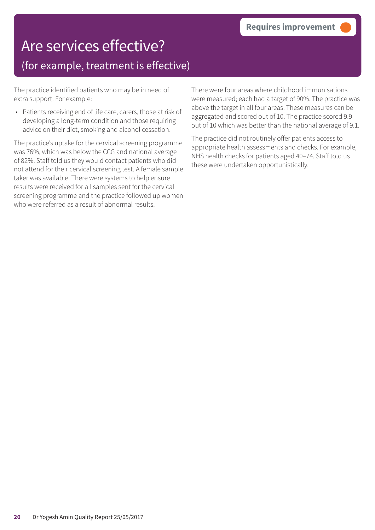## Are services effective? (for example, treatment is effective)

The practice identified patients who may be in need of extra support. For example:

• Patients receiving end of life care, carers, those at risk of developing a long-term condition and those requiring advice on their diet, smoking and alcohol cessation.

The practice's uptake for the cervical screening programme was 76%, which was below the CCG and national average of 82%. Staff told us they would contact patients who did not attend for their cervical screening test. A female sample taker was available. There were systems to help ensure results were received for all samples sent for the cervical screening programme and the practice followed up women who were referred as a result of abnormal results.

There were four areas where childhood immunisations were measured; each had a target of 90%. The practice was above the target in all four areas. These measures can be aggregated and scored out of 10. The practice scored 9.9 out of 10 which was better than the national average of 9.1.

The practice did not routinely offer patients access to appropriate health assessments and checks. For example, NHS health checks for patients aged 40–74. Staff told us these were undertaken opportunistically.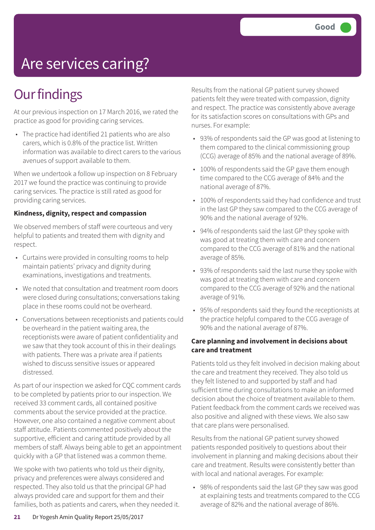# Are services caring?

## **Our findings**

At our previous inspection on 17 March 2016, we rated the practice as good for providing caring services.

• The practice had identified 21 patients who are also carers, which is 0.8% of the practice list. Written information was available to direct carers to the various avenues of support available to them.

When we undertook a follow up inspection on 8 February 2017 we found the practice was continuing to provide caring services. The practice is still rated as good for providing caring services.

#### **Kindness, dignity, respect and compassion**

We observed members of staff were courteous and very helpful to patients and treated them with dignity and respect.

- Curtains were provided in consulting rooms to help maintain patients' privacy and dignity during examinations, investigations and treatments.
- We noted that consultation and treatment room doors were closed during consultations; conversations taking place in these rooms could not be overheard.
- Conversations between receptionists and patients could be overheard in the patient waiting area, the receptionists were aware of patient confidentiality and we saw that they took account of this in their dealings with patients. There was a private area if patients wished to discuss sensitive issues or appeared distressed.

As part of our inspection we asked for CQC comment cards to be completed by patients prior to our inspection. We received 33 comment cards, all contained positive comments about the service provided at the practice. However, one also contained a negative comment about staff attitude. Patients commented positively about the supportive, efficient and caring attitude provided by all members of staff. Always being able to get an appointment quickly with a GP that listened was a common theme.

We spoke with two patients who told us their dignity, privacy and preferences were always considered and respected. They also told us that the principal GP had always provided care and support for them and their families, both as patients and carers, when they needed it. Results from the national GP patient survey showed patients felt they were treated with compassion, dignity and respect. The practice was consistently above average for its satisfaction scores on consultations with GPs and nurses. For example:

- 93% of respondents said the GP was good at listening to them compared to the clinical commissioning group (CCG) average of 85% and the national average of 89%.
- 100% of respondents said the GP gave them enough time compared to the CCG average of 84% and the national average of 87%.
- 100% of respondents said they had confidence and trust in the last GP they saw compared to the CCG average of 90% and the national average of 92%.
- 94% of respondents said the last GP they spoke with was good at treating them with care and concern compared to the CCG average of 81% and the national average of 85%.
- 93% of respondents said the last nurse they spoke with was good at treating them with care and concern compared to the CCG average of 92% and the national average of 91%.
- 95% of respondents said they found the receptionists at the practice helpful compared to the CCG average of 90% and the national average of 87%.

#### **Care planning and involvement in decisions about care and treatment**

Patients told us they felt involved in decision making about the care and treatment they received. They also told us they felt listened to and supported by staff and had sufficient time during consultations to make an informed decision about the choice of treatment available to them. Patient feedback from the comment cards we received was also positive and aligned with these views. We also saw that care plans were personalised.

Results from the national GP patient survey showed patients responded positively to questions about their involvement in planning and making decisions about their care and treatment. Results were consistently better than with local and national averages. For example:

• 98% of respondents said the last GP they saw was good at explaining tests and treatments compared to the CCG average of 82% and the national average of 86%.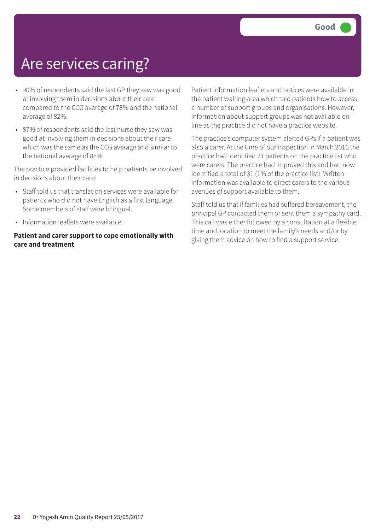## Are services caring?

- 90% of respondents said the last GP they saw was good at involving them in decisions about their care compared to the CCG average of 78% and the national average of 82%.
- 87% of respondents said the last nurse they saw was good at involving them in decisions about their care which was the same as the CCG average and similar to the national average of 85%.

The practice provided facilities to help patients be involved in decisions about their care:

- Staff told us that translation services were available for patients who did not have English as a first language. Some members of staff were bilingual.
- Information leaflets were available.

#### **Patient and carer support to cope emotionally with care and treatment**

Patient information leaflets and notices were available in the patient waiting area which told patients how to access a number of support groups and organisations. However, information about support groups was not available on line as the practice did not have a practice website.

The practice's computer system alerted GPs if a patient was also a carer. At the time of our inspection in March 2016 the practice had identified 21 patients on the practice list who were carers. The practice had improved this and had now identified a total of 31 (1% of the practice list). Written information was available to direct carers to the various avenues of support available to them.

Staff told us that if families had suffered bereavement, the principal GP contacted them or sent them a sympathy card. This call was either followed by a consultation at a flexible time and location to meet the family's needs and/or by giving them advice on how to find a support service.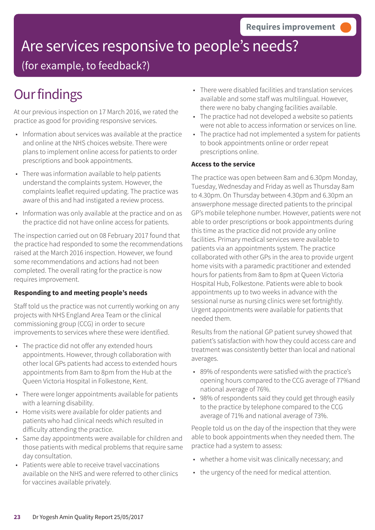# Are services responsive to people's needs?

(for example, to feedback?)

## **Our findings**

At our previous inspection on 17 March 2016, we rated the practice as good for providing responsive services.

- Information about services was available at the practice and online at the NHS choices website. There were plans to implement online access for patients to order prescriptions and book appointments.
- There was information available to help patients understand the complaints system. However, the complaints leaflet required updating. The practice was aware of this and had instigated a review process.
- Information was only available at the practice and on as the practice did not have online access for patients.

The inspection carried out on 08 February 2017 found that the practice had responded to some the recommendations raised at the March 2016 inspection. However, we found some recommendations and actions had not been completed. The overall rating for the practice is now requires improvement.

#### **Responding to and meeting people's needs**

Staff told us the practice was not currently working on any projects with NHS England Area Team or the clinical commissioning group (CCG) in order to secure improvements to services where these were identified.

- The practice did not offer any extended hours appointments. However, through collaboration with other local GPs patients had access to extended hours appointments from 8am to 8pm from the Hub at the Queen Victoria Hospital in Folkestone, Kent.
- There were longer appointments available for patients with a learning disability.
- Home visits were available for older patients and patients who had clinical needs which resulted in difficulty attending the practice.
- Same day appointments were available for children and those patients with medical problems that require same day consultation.
- Patients were able to receive travel vaccinations available on the NHS and were referred to other clinics for vaccines available privately.
- There were disabled facilities and translation services available and some staff was multilingual. However, there were no baby changing facilities available.
- The practice had not developed a website so patients were not able to access information or services on line.
- The practice had not implemented a system for patients to book appointments online or order repeat prescriptions online.

#### **Access to the service**

The practice was open between 8am and 6.30pm Monday, Tuesday, Wednesday and Friday as well as Thursday 8am to 4.30pm. On Thursday between 4.30pm and 6.30pm an answerphone message directed patients to the principal GP's mobile telephone number. However, patients were not able to order prescriptions or book appointments during this time as the practice did not provide any online facilities. Primary medical services were available to patients via an appointments system. The practice collaborated with other GPs in the area to provide urgent home visits with a paramedic practitioner and extended hours for patients from 8am to 8pm at Queen Victoria Hospital Hub, Folkestone. Patients were able to book appointments up to two weeks in advance with the sessional nurse as nursing clinics were set fortnightly. Urgent appointments were available for patients that needed them.

Results from the national GP patient survey showed that patient's satisfaction with how they could access care and treatment was consistently better than local and national averages.

- 89% of respondents were satisfied with the practice's opening hours compared to the CCG average of 77%and national average of 76%.
- 98% of respondents said they could get through easily to the practice by telephone compared to the CCG average of 71% and national average of 73%.

People told us on the day of the inspection that they were able to book appointments when they needed them. The practice had a system to assess:

- whether a home visit was clinically necessary; and
- the urgency of the need for medical attention.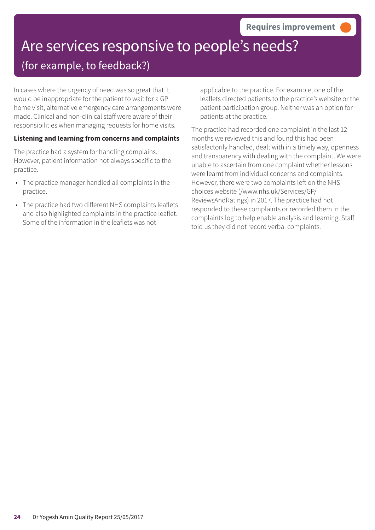# Are services responsive to people's needs?

### (for example, to feedback?)

In cases where the urgency of need was so great that it would be inappropriate for the patient to wait for a GP home visit, alternative emergency care arrangements were made. Clinical and non-clinical staff were aware of their responsibilities when managing requests for home visits.

#### **Listening and learning from concerns and complaints**

The practice had a system for handling complains. However, patient information not always specific to the practice.

- The practice manager handled all complaints in the practice.
- The practice had two different NHS complaints leaflets and also highlighted complaints in the practice leaflet. Some of the information in the leaflets was not

applicable to the practice. For example, one of the leaflets directed patients to the practice's website or the patient participation group. Neither was an option for patients at the practice.

The practice had recorded one complaint in the last 12 months we reviewed this and found this had been satisfactorily handled, dealt with in a timely way, openness and transparency with dealing with the complaint. We were unable to ascertain from one complaint whether lessons were learnt from individual concerns and complaints. However, there were two complaints left on the NHS choices website (/www.nhs.uk/Services/GP/ ReviewsAndRatings) in 2017. The practice had not responded to these complaints or recorded them in the complaints log to help enable analysis and learning. Staff told us they did not record verbal complaints.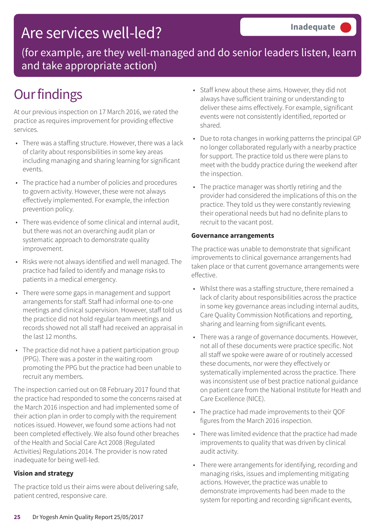## Are services well-led?

(for example, are they well-managed and do senior leaders listen, learn and take appropriate action)

# **Our findings**

At our previous inspection on 17 March 2016, we rated the practice as requires improvement for providing effective services.

- There was a staffing structure. However, there was a lack of clarity about responsibilities in some key areas including managing and sharing learning for significant events.
- The practice had a number of policies and procedures to govern activity. However, these were not always effectively implemented. For example, the infection prevention policy.
- There was evidence of some clinical and internal audit, but there was not an overarching audit plan or systematic approach to demonstrate quality improvement.
- Risks were not always identified and well managed. The practice had failed to identify and manage risks to patients in a medical emergency.
- There were some gaps in management and support arrangements for staff. Staff had informal one-to-one meetings and clinical supervision. However, staff told us the practice did not hold regular team meetings and records showed not all staff had received an appraisal in the last 12 months.
- The practice did not have a patient participation group (PPG). There was a poster in the waiting room promoting the PPG but the practice had been unable to recruit any members.

The inspection carried out on 08 February 2017 found that the practice had responded to some the concerns raised at the March 2016 inspection and had implemented some of their action plan in order to comply with the requirement notices issued. However, we found some actions had not been completed effectively. We also found other breaches of the Health and Social Care Act 2008 (Regulated Activities) Regulations 2014. The provider is now rated inadequate for being well-led.

#### **Vision and strategy**

The practice told us their aims were about delivering safe, patient centred, responsive care.

- Staff knew about these aims. However, they did not always have sufficient training or understanding to deliver these aims effectively. For example, significant events were not consistently identified, reported or shared.
- Due to rota changes in working patterns the principal GP no longer collaborated regularly with a nearby practice for support. The practice told us there were plans to meet with the buddy practice during the weekend after the inspection.
- The practice manager was shortly retiring and the provider had considered the implications of this on the practice. They told us they were constantly reviewing their operational needs but had no definite plans to recruit to the vacant post.

#### **Governance arrangements**

The practice was unable to demonstrate that significant improvements to clinical governance arrangements had taken place or that current governance arrangements were effective.

- Whilst there was a staffing structure, there remained a lack of clarity about responsibilities across the practice in some key governance areas including internal audits, Care Quality Commission Notifications and reporting, sharing and learning from significant events.
- There was a range of governance documents. However, not all of these documents were practice specific. Not all staff we spoke were aware of or routinely accessed these documents, nor were they effectively or systematically implemented across the practice. There was inconsistent use of best practice national guidance on patient care from the National Institute for Heath and Care Excellence (NICE).
- The practice had made improvements to their QOF figures from the March 2016 inspection.
- There was limited evidence that the practice had made improvements to quality that was driven by clinical audit activity.
- There were arrangements for identifying, recording and managing risks, issues and implementing mitigating actions. However, the practice was unable to demonstrate improvements had been made to the system for reporting and recording significant events,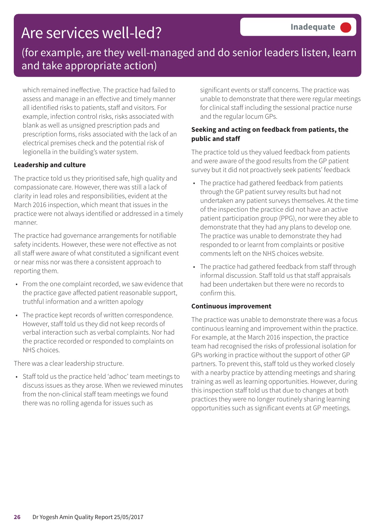## Are services well-led?

### (for example, are they well-managed and do senior leaders listen, learn and take appropriate action)

which remained ineffective. The practice had failed to assess and manage in an effective and timely manner all identified risks to patients, staff and visitors. For example, infection control risks, risks associated with blank as well as unsigned prescription pads and prescription forms, risks associated with the lack of an electrical premises check and the potential risk of legionella in the building's water system.

#### **Leadership and culture**

The practice told us they prioritised safe, high quality and compassionate care. However, there was still a lack of clarity in lead roles and responsibilities, evident at the March 2016 inspection, which meant that issues in the practice were not always identified or addressed in a timely manner.

The practice had governance arrangements for notifiable safety incidents. However, these were not effective as not all staff were aware of what constituted a significant event or near miss nor was there a consistent approach to reporting them.

- From the one complaint recorded, we saw evidence that the practice gave affected patient reasonable support, truthful information and a written apology
- The practice kept records of written correspondence. However, staff told us they did not keep records of verbal interaction such as verbal complaints. Nor had the practice recorded or responded to complaints on NHS choices.

There was a clear leadership structure.

• Staff told us the practice held 'adhoc' team meetings to discuss issues as they arose. When we reviewed minutes from the non-clinical staff team meetings we found there was no rolling agenda for issues such as

significant events or staff concerns. The practice was unable to demonstrate that there were regular meetings for clinical staff including the sessional practice nurse and the regular locum GPs.

#### **Seeking and acting on feedback from patients, the public and staff**

The practice told us they valued feedback from patients and were aware of the good results from the GP patient survey but it did not proactively seek patients' feedback

- The practice had gathered feedback from patients through the GP patient survey results but had not undertaken any patient surveys themselves. At the time of the inspection the practice did not have an active patient participation group (PPG), nor were they able to demonstrate that they had any plans to develop one. The practice was unable to demonstrate they had responded to or learnt from complaints or positive comments left on the NHS choices website.
- The practice had gathered feedback from staff through informal discussion. Staff told us that staff appraisals had been undertaken but there were no records to confirm this.

#### **Continuous improvement**

The practice was unable to demonstrate there was a focus continuous learning and improvement within the practice. For example, at the March 2016 inspection, the practice team had recognised the risks of professional isolation for GPs working in practice without the support of other GP partners. To prevent this, staff told us they worked closely with a nearby practice by attending meetings and sharing training as well as learning opportunities. However, during this inspection staff told us that due to changes at both practices they were no longer routinely sharing learning opportunities such as significant events at GP meetings.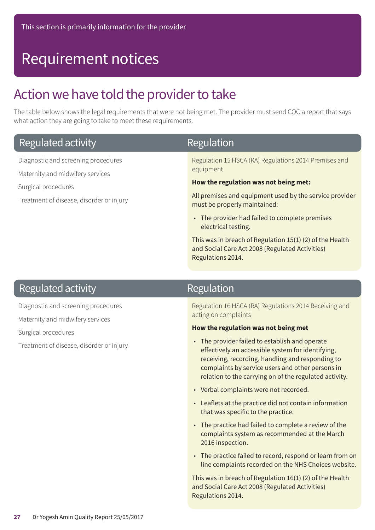## Requirement notices

### Action we have told the provider to take

The table below shows the legal requirements that were not being met. The provider must send CQC a report that says what action they are going to take to meet these requirements.

| Regulated activity                                                      | Regulation                                                                              |
|-------------------------------------------------------------------------|-----------------------------------------------------------------------------------------|
| Diagnostic and screening procedures<br>Maternity and midwifery services | Regulation 15 HSCA (RA) Regulations 2014 Premises and<br>equipment                      |
| Surgical procedures                                                     | How the regulation was not being met:                                                   |
| Treatment of disease, disorder or injury                                | All premises and equipment used by the service provider<br>must be properly maintained: |
|                                                                         | • The provider had failed to complete premises<br>electrical testing.                   |
|                                                                         | $\tau$ kin and the knowledge for each other 4 $\tau$ (4) (0) of the Historical          |

This was in breach of Regulation 15(1) (2) of the Health and Social Care Act 2008 (Regulated Activities) Regulations 2014.

### Regulated activity

Diagnostic and screening procedures

Maternity and midwifery services

Surgical procedures

Treatment of disease, disorder or injury

### Regulation

Regulation 16 HSCA (RA) Regulations 2014 Receiving and acting on complaints

#### **How the regulation was not being met**

- The provider failed to establish and operate effectively an accessible system for identifying, receiving, recording, handling and responding to complaints by service users and other persons in relation to the carrying on of the regulated activity.
- Verbal complaints were not recorded.
- Leaflets at the practice did not contain information that was specific to the practice.
- The practice had failed to complete a review of the complaints system as recommended at the March 2016 inspection.
- The practice failed to record, respond or learn from on line complaints recorded on the NHS Choices website.

This was in breach of Regulation 16(1) (2) of the Health and Social Care Act 2008 (Regulated Activities) Regulations 2014.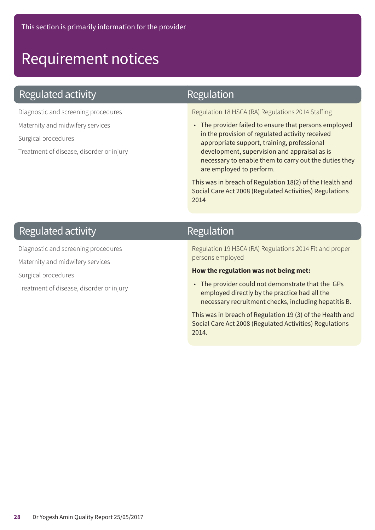## Requirement notices

### **Regulated activity**

Diagnostic and screening procedures

Maternity and midwifery services

Surgical procedures

Treatment of disease, disorder or injury

### Regulation

Regulation 18 HSCA (RA) Regulations 2014 Staffing

• The provider failed to ensure that persons employed in the provision of regulated activity received appropriate support, training, professional development, supervision and appraisal as is necessary to enable them to carry out the duties they are employed to perform.

This was in breach of Regulation 18(2) of the Health and Social Care Act 2008 (Regulated Activities) Regulations 2014

### **Regulated activity**

Diagnostic and screening procedures

Maternity and midwifery services

Surgical procedures

Treatment of disease, disorder or injury

### Regulation

Regulation 19 HSCA (RA) Regulations 2014 Fit and proper persons employed

#### **How the regulation was not being met:**

• The provider could not demonstrate that the GPs employed directly by the practice had all the necessary recruitment checks, including hepatitis B.

This was in breach of Regulation 19 (3) of the Health and Social Care Act 2008 (Regulated Activities) Regulations 2014.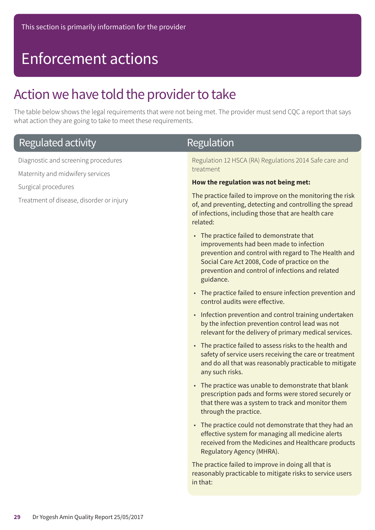## Enforcement actions

### Action we have told the provider to take

The table below shows the legal requirements that were not being met. The provider must send CQC a report that says what action they are going to take to meet these requirements.

| <b>Regulated activity</b>                                               | <b>Regulation</b>                                                                                                                                                                                                                                              |
|-------------------------------------------------------------------------|----------------------------------------------------------------------------------------------------------------------------------------------------------------------------------------------------------------------------------------------------------------|
| Diagnostic and screening procedures<br>Maternity and midwifery services | Regulation 12 HSCA (RA) Regulations 2014 Safe care and<br>treatment                                                                                                                                                                                            |
| Surgical procedures                                                     | How the regulation was not being met:                                                                                                                                                                                                                          |
| Treatment of disease, disorder or injury                                | The practice failed to improve on the monitoring the risk<br>of, and preventing, detecting and controlling the spread<br>of infections, including those that are health care<br>related:                                                                       |
|                                                                         | • The practice failed to demonstrate that<br>improvements had been made to infection<br>prevention and control with regard to The Health and<br>Social Care Act 2008, Code of practice on the<br>prevention and control of infections and related<br>guidance. |
|                                                                         | • The practice failed to ensure infection prevention and<br>control audits were effective.                                                                                                                                                                     |
|                                                                         | • Infection prevention and control training undertaken<br>by the infection prevention control lead was not<br>relevant for the delivery of primary medical services.                                                                                           |
|                                                                         | • The practice failed to assess risks to the health and<br>safety of service users receiving the care or treatment<br>and do all that was reasonably practicable to mitigate<br>any such risks.                                                                |
|                                                                         | • The practice was unable to demonstrate that blank<br>prescription pads and forms were stored securely or<br>that there was a system to track and monitor them<br>through the practice.                                                                       |
|                                                                         | • The practice could not demonstrate that they had an<br>effective system for managing all medicine alerts<br>received from the Medicines and Healthcare products<br>Regulatory Agency (MHRA).                                                                 |
|                                                                         | The practice failed to improve in doing all that is<br>reasonably practicable to mitigate risks to service users<br>in that:                                                                                                                                   |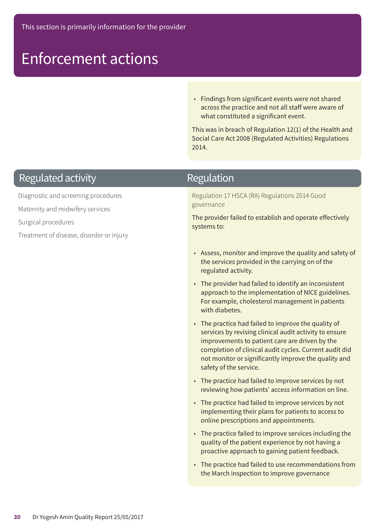## Enforcement actions

• Findings from significant events were not shared across the practice and not all staff were aware of what constituted a significant event.

This was in breach of Regulation 12(1) of the Health and Social Care Act 2008 (Regulated Activities) Regulations 2014.

### **Regulated activity**

Diagnostic and screening procedures

Maternity and midwifery services

Surgical procedures

Treatment of disease, disorder or injury

### Regulation

Regulation 17 HSCA (RA) Regulations 2014 Good governance

The provider failed to establish and operate effectively systems to:

- Assess, monitor and improve the quality and safety of the services provided in the carrying on of the regulated activity.
- The provider had failed to identify an inconsistent approach to the implementation of NICE guidelines. For example, cholesterol management in patients with diabetes.
- The practice had failed to improve the quality of services by revising clinical audit activity to ensure improvements to patient care are driven by the completion of clinical audit cycles. Current audit did not monitor or significantly improve the quality and safety of the service.
- The practice had failed to improve services by not reviewing how patients' access information on line.
- The practice had failed to improve services by not implementing their plans for patients to access to online prescriptions and appointments.
- The practice failed to improve services including the quality of the patient experience by not having a proactive approach to gaining patient feedback.
- The practice had failed to use recommendations from the March inspection to improve governance